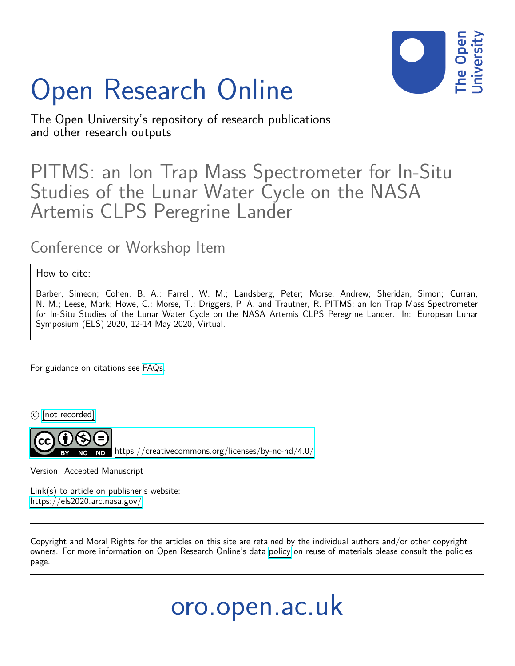

## Open Research Online

The Open University's repository of research publications and other research outputs

## PITMS: an Ion Trap Mass Spectrometer for In-Situ Studies of the Lunar Water Cycle on the NASA Artemis CLPS Peregrine Lander

## Conference or Workshop Item

## How to cite:

Barber, Simeon; Cohen, B. A.; Farrell, W. M.; Landsberg, Peter; Morse, Andrew; Sheridan, Simon; Curran, N. M.; Leese, Mark; Howe, C.; Morse, T.; Driggers, P. A. and Trautner, R. PITMS: an Ion Trap Mass Spectrometer for In-Situ Studies of the Lunar Water Cycle on the NASA Artemis CLPS Peregrine Lander. In: European Lunar Symposium (ELS) 2020, 12-14 May 2020, Virtual.

For guidance on citations see [FAQs.](http://oro.open.ac.uk/help/helpfaq.html)

 $\circled{c}$  [\[not recorded\]](http://oro.open.ac.uk/help/helpfaq.html#Unrecorded_information_on_coversheet)

<https://creativecommons.org/licenses/by-nc-nd/4.0/>

Version: Accepted Manuscript

Link(s) to article on publisher's website: <https://els2020.arc.nasa.gov/>

Copyright and Moral Rights for the articles on this site are retained by the individual authors and/or other copyright owners. For more information on Open Research Online's data [policy](http://oro.open.ac.uk/policies.html) on reuse of materials please consult the policies page.

oro.open.ac.uk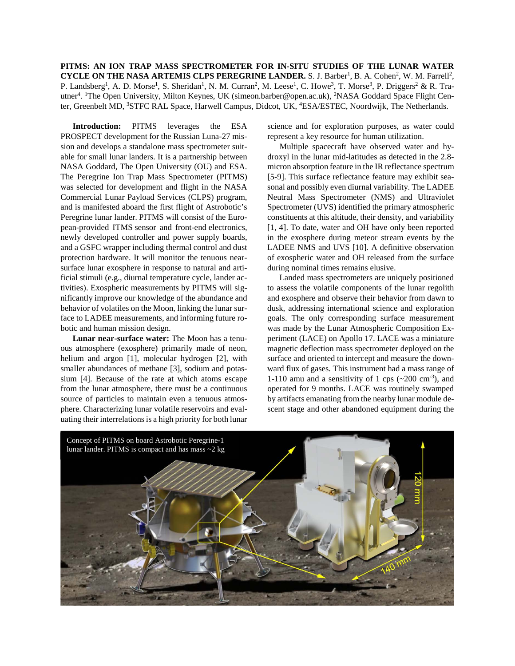**PITMS: AN ION TRAP MASS SPECTROMETER FOR IN-SITU STUDIES OF THE LUNAR WATER**  CYCLE ON THE NASA ARTEMIS CLPS PEREGRINE LANDER. S. J. Barber<sup>1</sup>, B. A. Cohen<sup>2</sup>, W. M. Farrell<sup>2</sup>, P. Landsberg<sup>1</sup>, A. D. Morse<sup>1</sup>, S. Sheridan<sup>1</sup>, N. M. Curran<sup>2</sup>, M. Leese<sup>1</sup>, C. Howe<sup>3</sup>, T. Morse<sup>3</sup>, P. Driggers<sup>2</sup> & R. Trautner<sup>4</sup>. <sup>1</sup>The Open University, Milton Keynes, UK (simeon.barber@open.ac.uk), <sup>2</sup>NASA Goddard Space Flight Center, Greenbelt MD, <sup>3</sup>STFC RAL Space, Harwell Campus, Didcot, UK, <sup>4</sup>ESA/ESTEC, Noordwijk, The Netherlands.

**Introduction:** PITMS leverages the ESA PROSPECT development for the Russian Luna-27 mission and develops a standalone mass spectrometer suitable for small lunar landers. It is a partnership between NASA Goddard, The Open University (OU) and ESA. The Peregrine Ion Trap Mass Spectrometer (PITMS) was selected for development and flight in the NASA Commercial Lunar Payload Services (CLPS) program, and is manifested aboard the first flight of Astrobotic's Peregrine lunar lander. PITMS will consist of the European-provided ITMS sensor and front-end electronics, newly developed controller and power supply boards, and a GSFC wrapper including thermal control and dust protection hardware. It will monitor the tenuous nearsurface lunar exosphere in response to natural and artificial stimuli (e.g., diurnal temperature cycle, lander activities). Exospheric measurements by PITMS will significantly improve our knowledge of the abundance and behavior of volatiles on the Moon, linking the lunar surface to LADEE measurements, and informing future robotic and human mission design.

**Lunar near-surface water:** The Moon has a tenuous atmosphere (exosphere) primarily made of neon, helium and argon [1], molecular hydrogen [2], with smaller abundances of methane [3], sodium and potassium [4]. Because of the rate at which atoms escape from the lunar atmosphere, there must be a continuous source of particles to maintain even a tenuous atmosphere. Characterizing lunar volatile reservoirs and evaluating their interrelations is a high priority for both lunar science and for exploration purposes, as water could represent a key resource for human utilization.

Multiple spacecraft have observed water and hydroxyl in the lunar mid-latitudes as detected in the 2.8 micron absorption feature in the IR reflectance spectrum [5-9]. This surface reflectance feature may exhibit seasonal and possibly even diurnal variability. The LADEE Neutral Mass Spectrometer (NMS) and Ultraviolet Spectrometer (UVS) identified the primary atmospheric constituents at this altitude, their density, and variability [1, 4]. To date, water and OH have only been reported in the exosphere during meteor stream events by the LADEE NMS and UVS [10]. A definitive observation of exospheric water and OH released from the surface during nominal times remains elusive.

Landed mass spectrometers are uniquely positioned to assess the volatile components of the lunar regolith and exosphere and observe their behavior from dawn to dusk, addressing international science and exploration goals. The only corresponding surface measurement was made by the Lunar Atmospheric Composition Experiment (LACE) on Apollo 17. LACE was a miniature magnetic deflection mass spectrometer deployed on the surface and oriented to intercept and measure the downward flux of gases. This instrument had a mass range of 1-110 amu and a sensitivity of 1 cps  $({\sim}200 \text{ cm}^{-3})$ , and operated for 9 months. LACE was routinely swamped by artifacts emanating from the nearby lunar module descent stage and other abandoned equipment during the